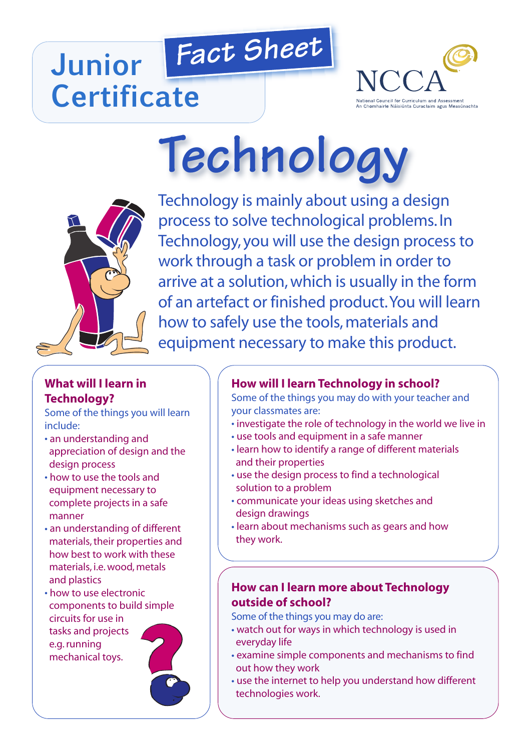# *Fact Sheet* **Junior Certificate**



# **Technology**



Technology is mainly about using a design process to solve technological problems. In Technology, you will use the design process to work through a task or problem in order to arrive at a solution,which is usually in the form of an artefact or finished product.You will learn how to safely use the tools, materials and equipment necessary to make this product.

## **What will I learn in Technology?**

Some of the things you will learn include:

- an understanding and appreciation of design and the design process
- how to use the tools and equipment necessary to complete projects in a safe manner
- an understanding of different materials, their properties and how best to work with these materials, i.e.wood, metals and plastics
- how to use electronic components to build simple circuits for use in tasks and projects e.g.running mechanical toys.



# **How will I learn Technology in school?**

Some of the things you may do with your teacher and your classmates are:

- investigate the role of technology in the world we live in
- use tools and equipment in a safe manner
- learn how to identify a range of different materials and their properties
- use the design process to find a technological solution to a problem
- communicate your ideas using sketches and design drawings
- learn about mechanisms such as gears and how they work.

### **How can I learn more about Technology outside of school?**

Some of the things you may do are:

- watch out for ways in which technology is used in everyday life
- examine simple components and mechanisms to find out how they work
- use the internet to help you understand how different technologies work.